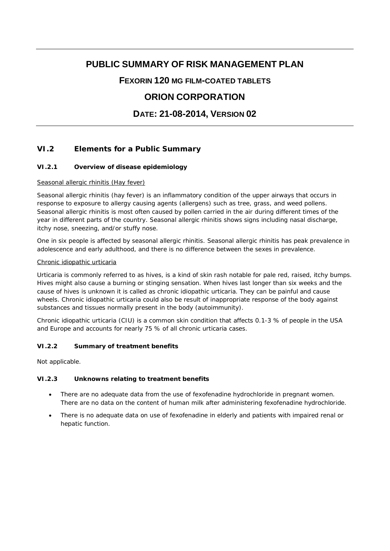# **PUBLIC SUMMARY OF RISK MANAGEMENT PLAN**

### **FEXORIN 120 MG FILM-COATED TABLETS**

## **ORION CORPORATION**

## **DATE: 21-08-2014, VERSION 02**

### **VI.2 Elements for a Public Summary**

#### *VI.2.1 Overview of disease epidemiology*

#### Seasonal allergic rhinitis (Hay fever)

Seasonal allergic rhinitis (hay fever) is an inflammatory condition of the upper airways that occurs in response to exposure to allergy causing agents (allergens) such as tree, grass, and weed pollens. Seasonal allergic rhinitis is most often caused by pollen carried in the air during different times of the year in different parts of the country. Seasonal allergic rhinitis shows signs including nasal discharge, itchy nose, sneezing, and/or stuffy nose.

One in six people is affected by seasonal allergic rhinitis. Seasonal allergic rhinitis has peak prevalence in adolescence and early adulthood, and there is no difference between the sexes in prevalence.

#### Chronic idiopathic urticaria

Urticaria is commonly referred to as hives, is a kind of skin rash notable for pale red, raised, itchy bumps. Hives might also cause a burning or stinging sensation. When hives last longer than six weeks and the cause of hives is unknown it is called as chronic idiopathic urticaria. They can be painful and cause wheels. Chronic idiopathic urticaria could also be result of inappropriate response of the body against substances and tissues normally present in the body (autoimmunity).

Chronic idiopathic urticaria (CIU) is a common skin condition that affects 0.1-3 % of people in the USA and Europe and accounts for nearly 75 % of all chronic urticaria cases.

#### *VI.2.2 Summary of treatment benefits*

Not applicable.

#### *VI.2.3 Unknowns relating to treatment benefits*

- There are no adequate data from the use of fexofenadine hydrochloride in pregnant women. There are no data on the content of human milk after administering fexofenadine hydrochloride.
- There is no adequate data on use of fexofenadine in elderly and patients with impaired renal or hepatic function.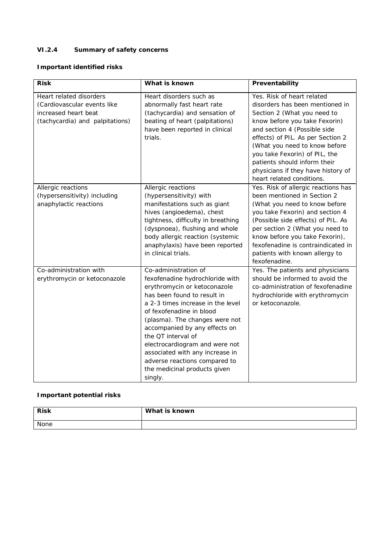## *VI.2.4 Summary of safety concerns*

**Important identified risks**

| <b>Risk</b>                                                                                                       | What is known                                                                                                                                                                                                                                                                                                                                                                                                                     | Preventability                                                                                                                                                                                                                                                                                                                                                          |
|-------------------------------------------------------------------------------------------------------------------|-----------------------------------------------------------------------------------------------------------------------------------------------------------------------------------------------------------------------------------------------------------------------------------------------------------------------------------------------------------------------------------------------------------------------------------|-------------------------------------------------------------------------------------------------------------------------------------------------------------------------------------------------------------------------------------------------------------------------------------------------------------------------------------------------------------------------|
| Heart related disorders<br>(Cardiovascular events like<br>increased heart beat<br>(tachycardia) and palpitations) | Heart disorders such as<br>abnormally fast heart rate<br>(tachycardia) and sensation of<br>beating of heart (palpitations)<br>have been reported in clinical<br>trials.                                                                                                                                                                                                                                                           | Yes. Risk of heart related<br>disorders has been mentioned in<br>Section 2 (What you need to<br>know before you take Fexorin)<br>and section 4 (Possible side<br>effects) of PIL. As per Section 2<br>(What you need to know before<br>you take Fexorin) of PIL, the<br>patients should inform their<br>physicians if they have history of<br>heart related conditions. |
| Allergic reactions<br>(hypersensitivity) including<br>anaphylactic reactions                                      | Allergic reactions<br>(hypersensitivity) with<br>manifestations such as giant<br>hives (angioedema), chest<br>tightness, difficulty in breathing<br>(dyspnoea), flushing and whole<br>body allergic reaction (systemic<br>anaphylaxis) have been reported<br>in clinical trials.                                                                                                                                                  | Yes. Risk of allergic reactions has<br>been mentioned in Section 2<br>(What you need to know before<br>you take Fexorin) and section 4<br>(Possible side effects) of PIL. As<br>per section 2 (What you need to<br>know before you take Fexorin),<br>fexofenadine is contraindicated in<br>patients with known allergy to<br>fexofenadine.                              |
| Co-administration with<br>erythromycin or ketoconazole                                                            | Co-administration of<br>fexofenadine hydrochloride with<br>erythromycin or ketoconazole<br>has been found to result in<br>a 2-3 times increase in the level<br>of fexofenadine in blood<br>(plasma). The changes were not<br>accompanied by any effects on<br>the QT interval of<br>electrocardiogram and were not<br>associated with any increase in<br>adverse reactions compared to<br>the medicinal products given<br>singly. | Yes. The patients and physicians<br>should be informed to avoid the<br>co-administration of fexofenadine<br>hydrochloride with erythromycin<br>or ketoconazole.                                                                                                                                                                                                         |

### **Important potential risks**

| <b>Risk</b> | What is known |
|-------------|---------------|
| None        |               |